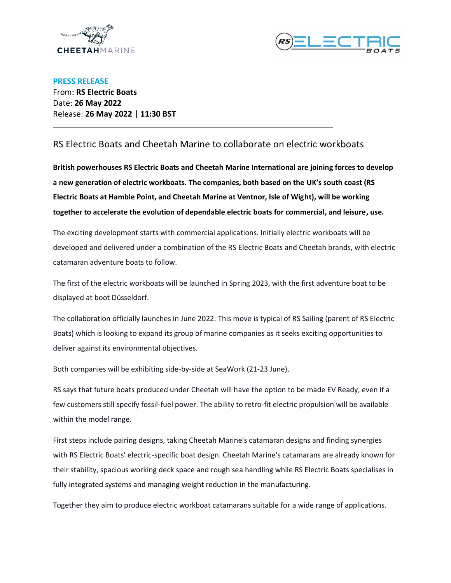

l



**PRESS RELEASE** From: **RS Electric Boats** Date: **26 May 2022** Release: **26 May 2022 | 11:30 BST**

## RS Electric Boats and Cheetah Marine to collaborate on electric workboats

**British powerhouses RS Electric Boats and Cheetah Marine International are joining forces to develop a new generation of electric workboats. The companies, both based on the UK's south coast (RS Electric Boats at Hamble Point, and Cheetah Marine at Ventnor, Isle of Wight), will be working together to accelerate the evolution of dependable electric boats for commercial, and leisure, use.**

The exciting development starts with commercial applications. Initially electric workboats will be developed and delivered under a combination of the RS Electric Boats and Cheetah brands, with electric catamaran adventure boats to follow.

The first of the electric workboats will be launched in Spring 2023, with the first adventure boat to be displayed at boot Düsseldorf.

The collaboration officially launches in June 2022. This move is typical of RS Sailing (parent of RS Electric Boats) which is looking to expand its group of marine companies as it seeks exciting opportunities to deliver against its environmental objectives.

Both companies will be exhibiting side-by-side at SeaWork (21-23 June).

RS says that future boats produced under Cheetah will have the option to be made EV Ready, even if a few customers still specify fossil-fuel power. The ability to retro-fit electric propulsion will be available within the model range.

First steps include pairing designs, taking Cheetah Marine's catamaran designs and finding synergies with RS Electric Boats' electric-specific boat design. Cheetah Marine's catamarans are already known for their stability, spacious working deck space and rough sea handling while RS Electric Boats specialises in fully integrated systems and managing weight reduction in the manufacturing.

Together they aim to produce electric workboat catamarans suitable for a wide range of applications.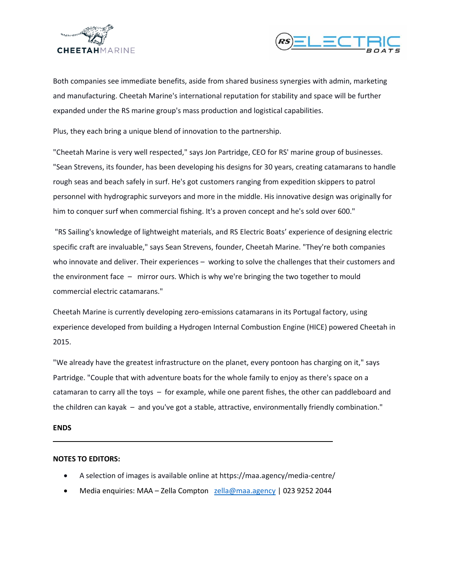



Both companies see immediate benefits, aside from shared business synergies with admin, marketing and manufacturing. Cheetah Marine's international reputation for stability and space will be further expanded under the RS marine group's mass production and logistical capabilities.

Plus, they each bring a unique blend of innovation to the partnership.

"Cheetah Marine is very well respected," says Jon Partridge, CEO for RS' marine group of businesses. "Sean Strevens, its founder, has been developing his designs for 30 years, creating catamarans to handle rough seas and beach safely in surf. He's got customers ranging from expedition skippers to patrol personnel with hydrographic surveyors and more in the middle. His innovative design was originally for him to conquer surf when commercial fishing. It's a proven concept and he's sold over 600."

"RS Sailing's knowledge of lightweight materials, and RS Electric Boats' experience of designing electric specific craft are invaluable," says Sean Strevens, founder, Cheetah Marine. "They're both companies who innovate and deliver. Their experiences – working to solve the challenges that their customers and the environment face – mirror ours. Which is why we're bringing the two together to mould commercial electric catamarans."

Cheetah Marine is currently developing zero-emissions catamarans in its Portugal factory, using experience developed from building a Hydrogen Internal Combustion Engine (HICE) powered Cheetah in 2015.

"We already have the greatest infrastructure on the planet, every pontoon has charging on it," says Partridge. "Couple that with adventure boats for the whole family to enjoy as there's space on a catamaran to carry all the toys – for example, while one parent fishes, the other can paddleboard and the children can kayak – and you've got a stable, attractive, environmentally friendly combination."

## **ENDS**

l

## **NOTES TO EDITORS:**

- A selection of images is available online at https://maa.agency/media-centre/
- Media enquiries: MAA Zella Compton [zella@maa.agency](mailto:zella@maa.agency) | 023 9252 2044